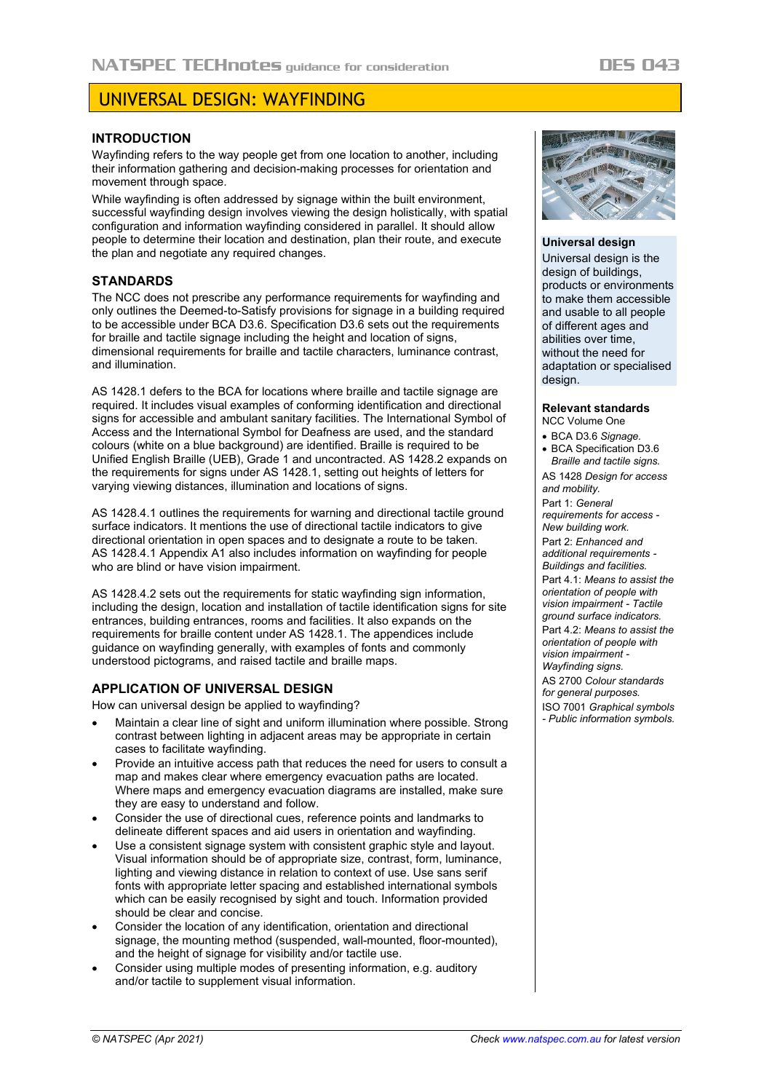# UNIVERSAL DESIGN: WAYFINDING

## **INTRODUCTION**

Wayfinding refers to the way people get from one location to another, including their information gathering and decision-making processes for orientation and movement through space.

While wayfinding is often addressed by signage within the built environment, successful wayfinding design involves viewing the design holistically, with spatial configuration and information wayfinding considered in parallel. It should allow people to determine their location and destination, plan their route, and execute the plan and negotiate any required changes.

### **STANDARDS**

The NCC does not prescribe any performance requirements for wayfinding and only outlines the Deemed-to-Satisfy provisions for signage in a building required to be accessible under BCA D3.6. Specification D3.6 sets out the requirements for braille and tactile signage including the height and location of signs, dimensional requirements for braille and tactile characters, luminance contrast, and illumination.

AS 1428.1 defers to the BCA for locations where braille and tactile signage are required. It includes visual examples of conforming identification and directional signs for accessible and ambulant sanitary facilities. The International Symbol of Access and the International Symbol for Deafness are used, and the standard colours (white on a blue background) are identified. Braille is required to be Unified English Braille (UEB), Grade 1 and uncontracted. AS 1428.2 expands on the requirements for signs under AS 1428.1, setting out heights of letters for varying viewing distances, illumination and locations of signs.

AS 1428.4.1 outlines the requirements for warning and directional tactile ground surface indicators. It mentions the use of directional tactile indicators to give directional orientation in open spaces and to designate a route to be taken. AS 1428.4.1 Appendix A1 also includes information on wayfinding for people who are blind or have vision impairment.

AS 1428.4.2 sets out the requirements for static wayfinding sign information. including the design, location and installation of tactile identification signs for site entrances, building entrances, rooms and facilities. It also expands on the requirements for braille content under AS 1428.1. The appendices include guidance on wayfinding generally, with examples of fonts and commonly understood pictograms, and raised tactile and braille maps.

## **APPLICATION OF UNIVERSAL DESIGN**

How can universal design be applied to wayfinding?

- Maintain a clear line of sight and uniform illumination where possible. Strong contrast between lighting in adjacent areas may be appropriate in certain cases to facilitate wayfinding.
- Provide an intuitive access path that reduces the need for users to consult a map and makes clear where emergency evacuation paths are located. Where maps and emergency evacuation diagrams are installed, make sure they are easy to understand and follow.
- Consider the use of directional cues, reference points and landmarks to delineate different spaces and aid users in orientation and wayfinding.
- Use a consistent signage system with consistent graphic style and layout. Visual information should be of appropriate size, contrast, form, luminance, lighting and viewing distance in relation to context of use. Use sans serif fonts with appropriate letter spacing and established international symbols which can be easily recognised by sight and touch. Information provided should be clear and concise.
- Consider the location of any identification, orientation and directional signage, the mounting method (suspended, wall-mounted, floor-mounted), and the height of signage for visibility and/or tactile use.
- Consider using multiple modes of presenting information, e.g. auditory and/or tactile to supplement visual information.



#### **Universal design**

Universal design is the design of buildings, products or environments to make them accessible and usable to all people of different ages and abilities over time, without the need for adaptation or specialised design.

#### **Relevant standards**

NCC Volume One

- BCA D3.6 *Signage.* • BCA Specification D3.6
- *Braille and tactile signs.*

AS 1428 *Design for access and mobility.*

Part 1: *General requirements for access - New building work.*

Part 2: *Enhanced and additional requirements - Buildings and facilities.*

Part 4.1: *Means to assist the orientation of people with vision impairment - Tactile ground surface indicators.* Part 4.2: *Means to assist the orientation of people with vision impairment -*

*Wayfinding signs.*

AS 2700 *Colour standards* 

*for general purposes.*

ISO 7001 *Graphical symbols - Public information symbols.*